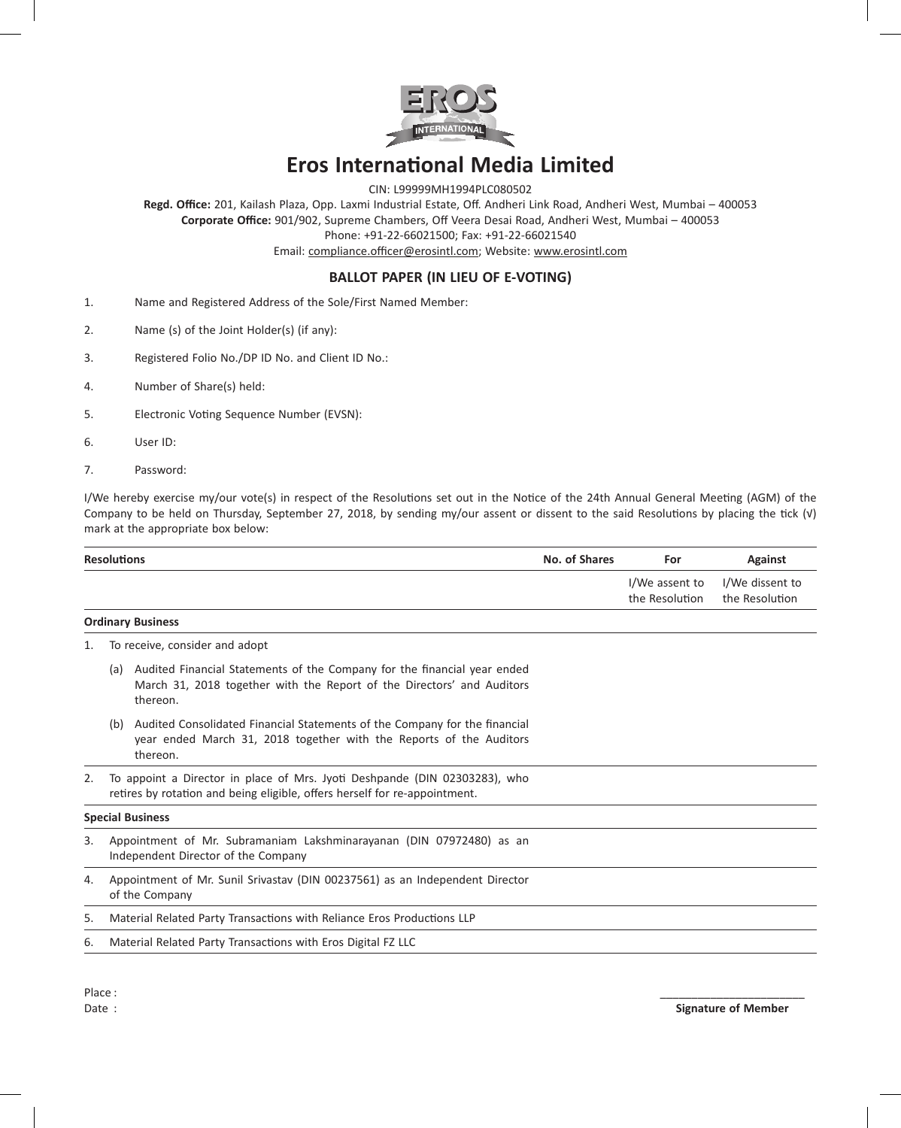

# **Eros International Media Limited**

CIN: L99999MH1994PLC080502

**Regd. Office:** 201, Kailash Plaza, Opp. Laxmi Industrial Estate, Off. Andheri Link Road, Andheri West, Mumbai – 400053 **Corporate Office:** 901/902, Supreme Chambers, Off Veera Desai Road, Andheri West, Mumbai – 400053 Phone: +91-22-66021500; Fax: +91-22-66021540

Email: compliance.officer@erosintl.com; Website: www.erosintl.com

## **BALLOT PAPER (IN LIEU OF E-VOTING)**

- 1. Name and Registered Address of the Sole/First Named Member:
- 2. Name (s) of the Joint Holder(s) (if any):
- 3. Registered Folio No./DP ID No. and Client ID No.:
- 4. Number of Share(s) held:
- 5. Electronic Voting Sequence Number (EVSN):
- 6. User ID:
- 7. Password:

I/We hereby exercise my/our vote(s) in respect of the Resolutions set out in the Notice of the 24th Annual General Meeting (AGM) of the Company to be held on Thursday, September 27, 2018, by sending my/our assent or dissent to the said Resolutions by placing the tick (√) mark at the appropriate box below:

| <b>Resolutions</b> | No. of Shares | For            | Against         |
|--------------------|---------------|----------------|-----------------|
|                    |               | I/We assent to | I/We dissent to |

#### **Ordinary Business**

- 1. To receive, consider and adopt
	- (a) Audited Financial Statements of the Company for the financial year ended March 31, 2018 together with the Report of the Directors' and Auditors thereon.
	- (b) Audited Consolidated Financial Statements of the Company for the financial year ended March 31, 2018 together with the Reports of the Auditors thereon.
- 2. To appoint a Director in place of Mrs. Jyoti Deshpande (DIN 02303283), who retires by rotation and being eligible, offers herself for re-appointment.

#### **Special Business**

- 3. Appointment of Mr. Subramaniam Lakshminarayanan (DIN 07972480) as an Independent Director of the Company
- 4. Appointment of Mr. Sunil Srivastav (DIN 00237561) as an Independent Director of the Company
- 5. Material Related Party Transactions with Reliance Eros Productions LLP
- 6. Material Related Party Transactions with Eros Digital FZ LLC

the Resolution

the Resolution